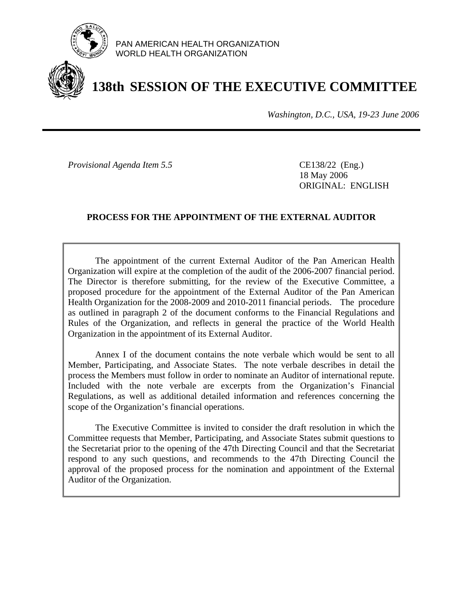

PAN AMERICAN HEALTH ORGANIZATION WORLD HEALTH ORGANIZATION

# **138th SESSION OF THE EXECUTIVE COMMITTEE**

*Washington, D.C., USA, 19-23 June 2006*

*Provisional Agenda Item 5.5* CE138/22 (Eng.)

 18 May 2006 ORIGINAL: ENGLISH

# **PROCESS FOR THE APPOINTMENT OF THE EXTERNAL AUDITOR**

 The appointment of the current External Auditor of the Pan American Health Organization will expire at the completion of the audit of the 2006-2007 financial period. The Director is therefore submitting, for the review of the Executive Committee, a proposed procedure for the appointment of the External Auditor of the Pan American Health Organization for the 2008-2009 and 2010-2011 financial periods. The procedure as outlined in paragraph 2 of the document conforms to the Financial Regulations and Rules of the Organization, and reflects in general the practice of the World Health Organization in the appointment of its External Auditor.

 Annex I of the document contains the note verbale which would be sent to all Member, Participating, and Associate States. The note verbale describes in detail the process the Members must follow in order to nominate an Auditor of international repute. Included with the note verbale are excerpts from the Organization's Financial Regulations, as well as additional detailed information and references concerning the scope of the Organization's financial operations.

 The Executive Committee is invited to consider the draft resolution in which the Committee requests that Member, Participating, and Associate States submit questions to the Secretariat prior to the opening of the 47th Directing Council and that the Secretariat respond to any such questions, and recommends to the 47th Directing Council the approval of the proposed process for the nomination and appointment of the External Auditor of the Organization.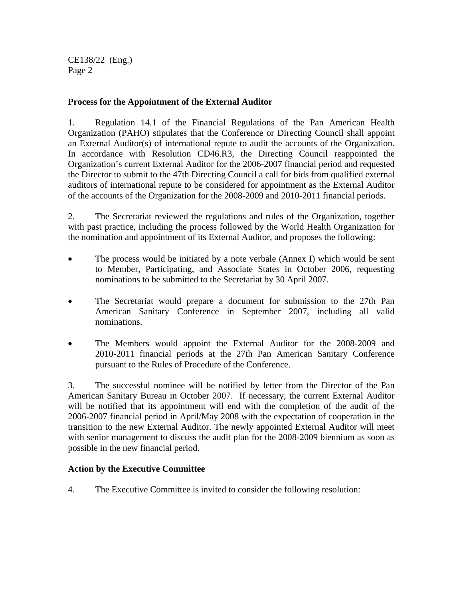CE138/22 (Eng.) Page 2

# **Process for the Appointment of the External Auditor**

1. Regulation 14.1 of the Financial Regulations of the Pan American Health Organization (PAHO) stipulates that the Conference or Directing Council shall appoint an External Auditor(s) of international repute to audit the accounts of the Organization. In accordance with Resolution CD46.R3, the Directing Council reappointed the Organization's current External Auditor for the 2006-2007 financial period and requested the Director to submit to the 47th Directing Council a call for bids from qualified external auditors of international repute to be considered for appointment as the External Auditor of the accounts of the Organization for the 2008-2009 and 2010-2011 financial periods.

2. The Secretariat reviewed the regulations and rules of the Organization, together with past practice, including the process followed by the World Health Organization for the nomination and appointment of its External Auditor, and proposes the following:

- The process would be initiated by a note verbale (Annex I) which would be sent to Member, Participating, and Associate States in October 2006, requesting nominations to be submitted to the Secretariat by 30 April 2007.
- The Secretariat would prepare a document for submission to the 27th Pan American Sanitary Conference in September 2007, including all valid nominations.
- The Members would appoint the External Auditor for the 2008-2009 and 2010-2011 financial periods at the 27th Pan American Sanitary Conference pursuant to the Rules of Procedure of the Conference.

3. The successful nominee will be notified by letter from the Director of the Pan American Sanitary Bureau in October 2007. If necessary, the current External Auditor will be notified that its appointment will end with the completion of the audit of the 2006-2007 financial period in April/May 2008 with the expectation of cooperation in the transition to the new External Auditor. The newly appointed External Auditor will meet with senior management to discuss the audit plan for the 2008-2009 biennium as soon as possible in the new financial period.

# **Action by the Executive Committee**

4. The Executive Committee is invited to consider the following resolution: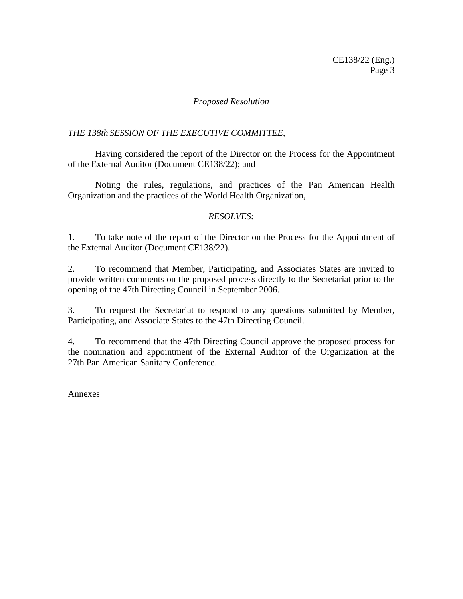# *Proposed Resolution*

# *THE 138th SESSION OF THE EXECUTIVE COMMITTEE,*

 Having considered the report of the Director on the Process for the Appointment of the External Auditor (Document CE138/22); and

 Noting the rules, regulations, and practices of the Pan American Health Organization and the practices of the World Health Organization,

# *RESOLVES:*

1. To take note of the report of the Director on the Process for the Appointment of the External Auditor (Document CE138/22).

2. To recommend that Member, Participating, and Associates States are invited to provide written comments on the proposed process directly to the Secretariat prior to the opening of the 47th Directing Council in September 2006.

3. To request the Secretariat to respond to any questions submitted by Member, Participating, and Associate States to the 47th Directing Council.

4. To recommend that the 47th Directing Council approve the proposed process for the nomination and appointment of the External Auditor of the Organization at the 27th Pan American Sanitary Conference.

Annexes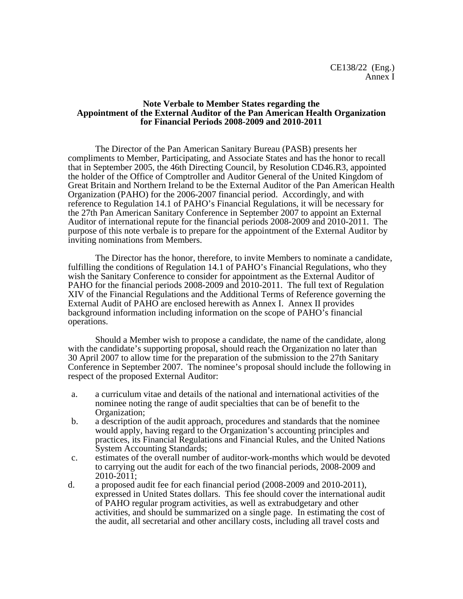#### **Note Verbale to Member States regarding the Appointment of the External Auditor of the Pan American Health Organization for Financial Periods 2008-2009 and 2010-2011**

 The Director of the Pan American Sanitary Bureau (PASB) presents her compliments to Member, Participating, and Associate States and has the honor to recall that in September 2005, the 46th Directing Council, by Resolution CD46.R3, appointed the holder of the Office of Comptroller and Auditor General of the United Kingdom of Great Britain and Northern Ireland to be the External Auditor of the Pan American Health Organization (PAHO) for the 2006-2007 financial period. Accordingly, and with reference to Regulation 14.1 of PAHO's Financial Regulations, it will be necessary for the 27th Pan American Sanitary Conference in September 2007 to appoint an External Auditor of international repute for the financial periods 2008-2009 and 2010-2011. The purpose of this note verbale is to prepare for the appointment of the External Auditor by inviting nominations from Members.

 The Director has the honor, therefore, to invite Members to nominate a candidate, fulfilling the conditions of Regulation 14.1 of PAHO's Financial Regulations, who they wish the Sanitary Conference to consider for appointment as the External Auditor of PAHO for the financial periods 2008-2009 and 2010-2011. The full text of Regulation XIV of the Financial Regulations and the Additional Terms of Reference governing the External Audit of PAHO are enclosed herewith as Annex I. Annex II provides background information including information on the scope of PAHO's financial operations.

 Should a Member wish to propose a candidate, the name of the candidate, along with the candidate's supporting proposal, should reach the Organization no later than 30 April 2007 to allow time for the preparation of the submission to the 27th Sanitary Conference in September 2007. The nominee's proposal should include the following in respect of the proposed External Auditor:

- a. a curriculum vitae and details of the national and international activities of the nominee noting the range of audit specialties that can be of benefit to the Organization;
- b. a description of the audit approach, procedures and standards that the nominee would apply, having regard to the Organization's accounting principles and practices, its Financial Regulations and Financial Rules, and the United Nations System Accounting Standards;
- c. estimates of the overall number of auditor-work-months which would be devoted to carrying out the audit for each of the two financial periods, 2008-2009 and 2010-2011;
- d. a proposed audit fee for each financial period (2008-2009 and 2010-2011), expressed in United States dollars. This fee should cover the international audit of PAHO regular program activities, as well as extrabudgetary and other activities, and should be summarized on a single page. In estimating the cost of the audit, all secretarial and other ancillary costs, including all travel costs and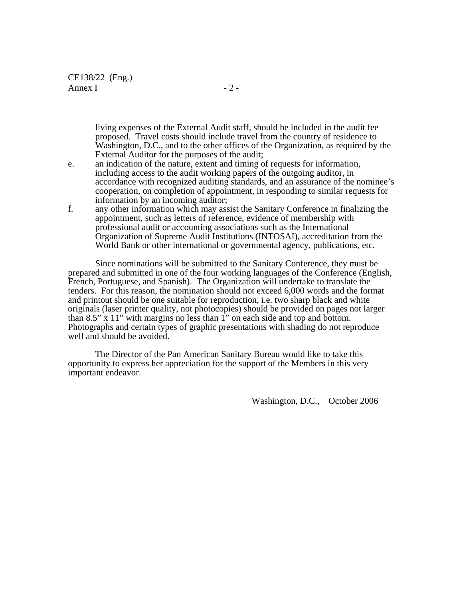CE138/22 (Eng.) Annex I  $-2$  -

 living expenses of the External Audit staff, should be included in the audit fee proposed. Travel costs should include travel from the country of residence to Washington, D.C., and to the other offices of the Organization, as required by the External Auditor for the purposes of the audit;

- e. an indication of the nature, extent and timing of requests for information, including access to the audit working papers of the outgoing auditor, in accordance with recognized auditing standards, and an assurance of the nominee's cooperation, on completion of appointment, in responding to similar requests for information by an incoming auditor;
- f. any other information which may assist the Sanitary Conference in finalizing the appointment, such as letters of reference, evidence of membership with professional audit or accounting associations such as the International Organization of Supreme Audit Institutions (INTOSAI), accreditation from the World Bank or other international or governmental agency, publications, etc.

Since nominations will be submitted to the Sanitary Conference, they must be prepared and submitted in one of the four working languages of the Conference (English, French, Portuguese, and Spanish). The Organization will undertake to translate the tenders. For this reason, the nomination should not exceed 6,000 words and the format and printout should be one suitable for reproduction, i.e. two sharp black and white originals (laser printer quality, not photocopies) should be provided on pages not larger than 8.5" x 11" with margins no less than 1" on each side and top and bottom. Photographs and certain types of graphic presentations with shading do not reproduce well and should be avoided.

The Director of the Pan American Sanitary Bureau would like to take this opportunity to express her appreciation for the support of the Members in this very important endeavor.

Washington, D.C., October 2006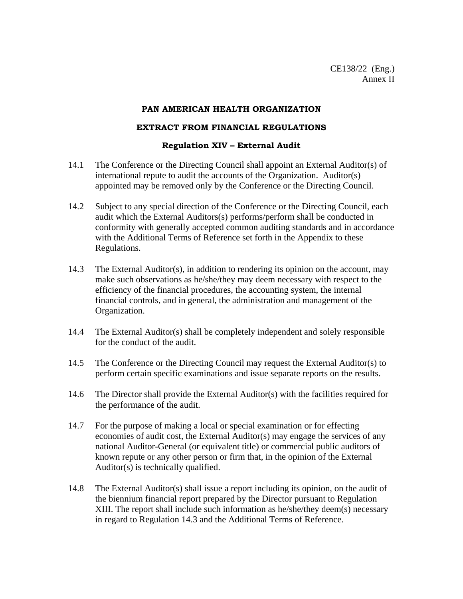#### **PAN AMERICAN HEALTH ORGANIZATION**

# **EXTRACT FROM FINANCIAL REGULATIONS**

# **Regulation XIV – External Audit**

- 14.1 The Conference or the Directing Council shall appoint an External Auditor(s) of international repute to audit the accounts of the Organization. Auditor(s) appointed may be removed only by the Conference or the Directing Council.
- 14.2 Subject to any special direction of the Conference or the Directing Council, each audit which the External Auditors(s) performs/perform shall be conducted in conformity with generally accepted common auditing standards and in accordance with the Additional Terms of Reference set forth in the Appendix to these Regulations.
- 14.3 The External Auditor(s), in addition to rendering its opinion on the account, may make such observations as he/she/they may deem necessary with respect to the efficiency of the financial procedures, the accounting system, the internal financial controls, and in general, the administration and management of the Organization.
- 14.4 The External Auditor(s) shall be completely independent and solely responsible for the conduct of the audit.
- 14.5 The Conference or the Directing Council may request the External Auditor(s) to perform certain specific examinations and issue separate reports on the results.
- 14.6 The Director shall provide the External Auditor(s) with the facilities required for the performance of the audit.
- 14.7 For the purpose of making a local or special examination or for effecting economies of audit cost, the External Auditor(s) may engage the services of any national Auditor-General (or equivalent title) or commercial public auditors of known repute or any other person or firm that, in the opinion of the External Auditor(s) is technically qualified.
- 14.8 The External Auditor(s) shall issue a report including its opinion, on the audit of the biennium financial report prepared by the Director pursuant to Regulation XIII. The report shall include such information as he/she/they deem(s) necessary in regard to Regulation 14.3 and the Additional Terms of Reference.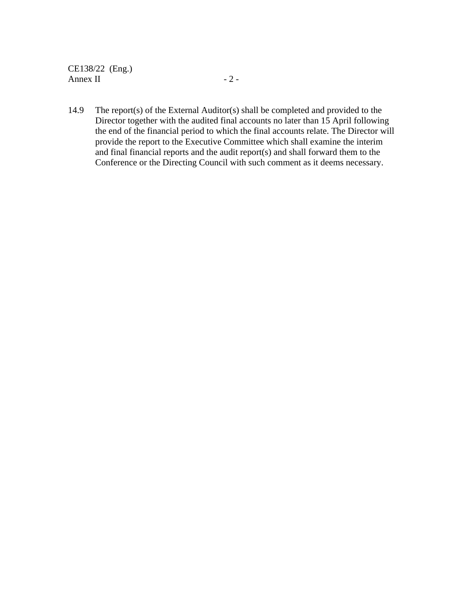CE138/22 (Eng.) Annex II  $-2$  -

14.9 The report(s) of the External Auditor(s) shall be completed and provided to the Director together with the audited final accounts no later than 15 April following the end of the financial period to which the final accounts relate. The Director will provide the report to the Executive Committee which shall examine the interim and final financial reports and the audit report(s) and shall forward them to the Conference or the Directing Council with such comment as it deems necessary.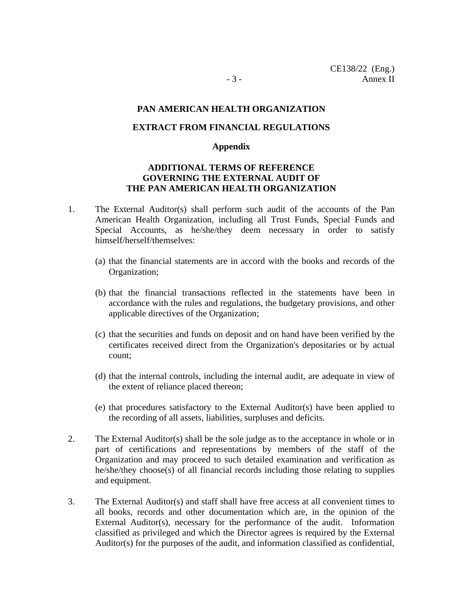#### **PAN AMERICAN HEALTH ORGANIZATION**

#### **EXTRACT FROM FINANCIAL REGULATIONS**

#### **Appendix**

# **ADDITIONAL TERMS OF REFERENCE GOVERNING THE EXTERNAL AUDIT OF THE PAN AMERICAN HEALTH ORGANIZATION**

- 1. The External Auditor(s) shall perform such audit of the accounts of the Pan American Health Organization, including all Trust Funds, Special Funds and Special Accounts, as he/she/they deem necessary in order to satisfy himself/herself/themselves:
	- (a) that the financial statements are in accord with the books and records of the Organization;
	- (b) that the financial transactions reflected in the statements have been in accordance with the rules and regulations, the budgetary provisions, and other applicable directives of the Organization;
	- (c) that the securities and funds on deposit and on hand have been verified by the certificates received direct from the Organization's depositaries or by actual count;
	- (d) that the internal controls, including the internal audit, are adequate in view of the extent of reliance placed thereon;
	- (e) that procedures satisfactory to the External Auditor(s) have been applied to the recording of all assets, liabilities, surpluses and deficits.
- 2. The External Auditor(s) shall be the sole judge as to the acceptance in whole or in part of certifications and representations by members of the staff of the Organization and may proceed to such detailed examination and verification as he/she/they choose(s) of all financial records including those relating to supplies and equipment.
- 3. The External Auditor(s) and staff shall have free access at all convenient times to all books, records and other documentation which are, in the opinion of the External Auditor(s), necessary for the performance of the audit. Information classified as privileged and which the Director agrees is required by the External Auditor(s) for the purposes of the audit, and information classified as confidential,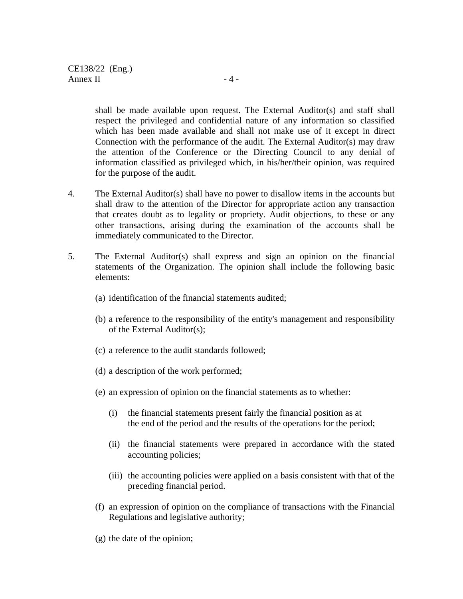shall be made available upon request. The External Auditor(s) and staff shall respect the privileged and confidential nature of any information so classified which has been made available and shall not make use of it except in direct Connection with the performance of the audit. The External Auditor(s) may draw the attention of the Conference or the Directing Council to any denial of information classified as privileged which, in his/her/their opinion, was required for the purpose of the audit.

- 4. The External Auditor(s) shall have no power to disallow items in the accounts but shall draw to the attention of the Director for appropriate action any transaction that creates doubt as to legality or propriety. Audit objections, to these or any other transactions, arising during the examination of the accounts shall be immediately communicated to the Director.
- 5. The External Auditor(s) shall express and sign an opinion on the financial statements of the Organization. The opinion shall include the following basic elements:
	- (a) identification of the financial statements audited;
	- (b) a reference to the responsibility of the entity's management and responsibility of the External Auditor(s);
	- (c) a reference to the audit standards followed;
	- (d) a description of the work performed;
	- (e) an expression of opinion on the financial statements as to whether:
		- (i) the financial statements present fairly the financial position as at the end of the period and the results of the operations for the period;
		- (ii) the financial statements were prepared in accordance with the stated accounting policies;
		- (iii) the accounting policies were applied on a basis consistent with that of the preceding financial period.
	- (f) an expression of opinion on the compliance of transactions with the Financial Regulations and legislative authority;
	- (g) the date of the opinion;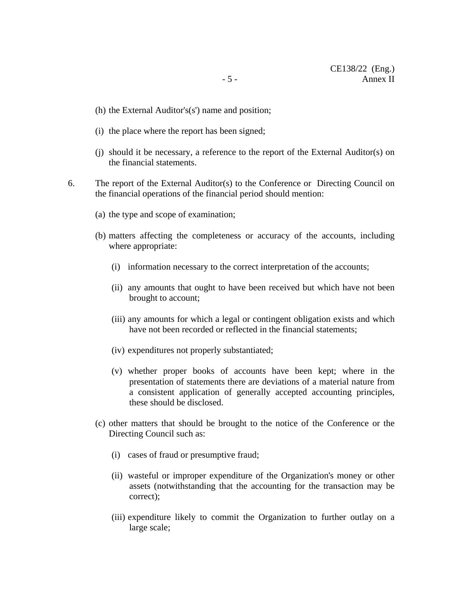- (h) the External Auditor's(s') name and position;
- (i) the place where the report has been signed;
- (j) should it be necessary, a reference to the report of the External Auditor(s) on the financial statements.
- 6. The report of the External Auditor(s) to the Conference or Directing Council on the financial operations of the financial period should mention:
	- (a) the type and scope of examination;
	- (b) matters affecting the completeness or accuracy of the accounts, including where appropriate:
		- (i) information necessary to the correct interpretation of the accounts;
		- (ii) any amounts that ought to have been received but which have not been brought to account;
		- (iii) any amounts for which a legal or contingent obligation exists and which have not been recorded or reflected in the financial statements;
		- (iv) expenditures not properly substantiated;
		- (v) whether proper books of accounts have been kept; where in the presentation of statements there are deviations of a material nature from a consistent application of generally accepted accounting principles, these should be disclosed.
	- (c) other matters that should be brought to the notice of the Conference or the Directing Council such as:
		- (i) cases of fraud or presumptive fraud;
		- (ii) wasteful or improper expenditure of the Organization's money or other assets (notwithstanding that the accounting for the transaction may be correct);
		- (iii) expenditure likely to commit the Organization to further outlay on a large scale;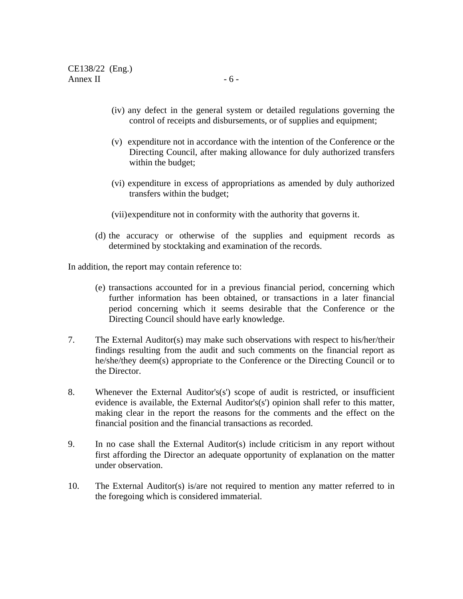- (iv) any defect in the general system or detailed regulations governing the control of receipts and disbursements, or of supplies and equipment;
- (v) expenditure not in accordance with the intention of the Conference or the Directing Council, after making allowance for duly authorized transfers within the budget;
- (vi) expenditure in excess of appropriations as amended by duly authorized transfers within the budget;
- (vii)expenditure not in conformity with the authority that governs it.
- (d) the accuracy or otherwise of the supplies and equipment records as determined by stocktaking and examination of the records.

In addition, the report may contain reference to:

- (e) transactions accounted for in a previous financial period, concerning which further information has been obtained, or transactions in a later financial period concerning which it seems desirable that the Conference or the Directing Council should have early knowledge.
- 7. The External Auditor(s) may make such observations with respect to his/her/their findings resulting from the audit and such comments on the financial report as he/she/they deem(s) appropriate to the Conference or the Directing Council or to the Director.
- 8. Whenever the External Auditor's(s') scope of audit is restricted, or insufficient evidence is available, the External Auditor's(s') opinion shall refer to this matter, making clear in the report the reasons for the comments and the effect on the financial position and the financial transactions as recorded.
- 9. In no case shall the External Auditor(s) include criticism in any report without first affording the Director an adequate opportunity of explanation on the matter under observation.
- 10. The External Auditor(s) is/are not required to mention any matter referred to in the foregoing which is considered immaterial.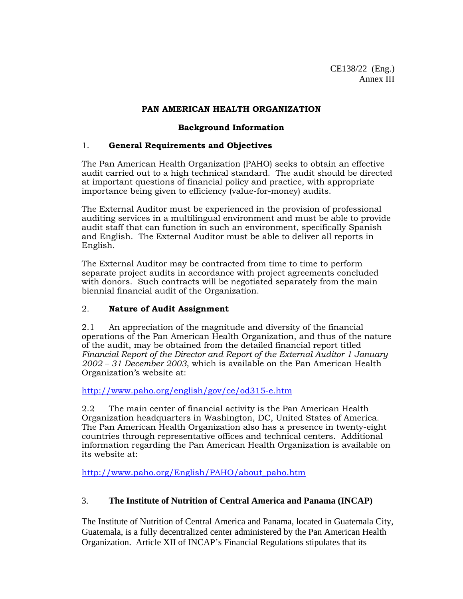# **PAN AMERICAN HEALTH ORGANIZATION**

### **Background Information**

# 1. **General Requirements and Objectives**

The Pan American Health Organization (PAHO) seeks to obtain an effective audit carried out to a high technical standard. The audit should be directed at important questions of financial policy and practice, with appropriate importance being given to efficiency (value-for-money) audits.

The External Auditor must be experienced in the provision of professional auditing services in a multilingual environment and must be able to provide audit staff that can function in such an environment, specifically Spanish and English. The External Auditor must be able to deliver all reports in English.

The External Auditor may be contracted from time to time to perform separate project audits in accordance with project agreements concluded with donors. Such contracts will be negotiated separately from the main biennial financial audit of the Organization.

# 2. **Nature of Audit Assignment**

2.1 An appreciation of the magnitude and diversity of the financial operations of the Pan American Health Organization, and thus of the nature of the audit, may be obtained from the detailed financial report titled *Financial Report of the Director and Report of the External Auditor 1 January 2002 – 31 December 2003*, which is available on the Pan American Health Organization's website at:

http://www.paho.org/english/gov/ce/od315-e.htm

2.2 The main center of financial activity is the Pan American Health Organization headquarters in Washington, DC, United States of America. The Pan American Health Organization also has a presence in twenty-eight countries through representative offices and technical centers. Additional information regarding the Pan American Health Organization is available on its website at:

http://www.paho.org/English/PAHO/about\_paho.htm

# 3. **The Institute of Nutrition of Central America and Panama (INCAP)**

The Institute of Nutrition of Central America and Panama, located in Guatemala City, Guatemala, is a fully decentralized center administered by the Pan American Health Organization. Article XII of INCAP's Financial Regulations stipulates that its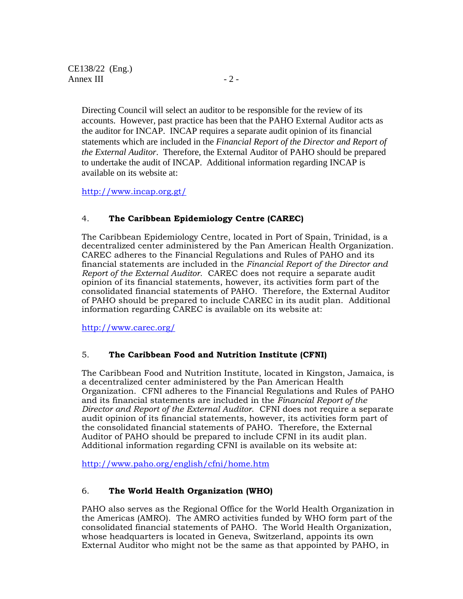Directing Council will select an auditor to be responsible for the review of its accounts. However, past practice has been that the PAHO External Auditor acts as the auditor for INCAP. INCAP requires a separate audit opinion of its financial statements which are included in the *Financial Report of the Director and Report of the External Auditor*. Therefore, the External Auditor of PAHO should be prepared to undertake the audit of INCAP. Additional information regarding INCAP is available on its website at:

http://www.incap.org.gt/

# 4. **The Caribbean Epidemiology Centre (CAREC)**

The Caribbean Epidemiology Centre, located in Port of Spain, Trinidad, is a decentralized center administered by the Pan American Health Organization. CAREC adheres to the Financial Regulations and Rules of PAHO and its financial statements are included in the *Financial Report of the Director and Report of the External Auditor*. CAREC does not require a separate audit opinion of its financial statements, however, its activities form part of the consolidated financial statements of PAHO. Therefore, the External Auditor of PAHO should be prepared to include CAREC in its audit plan. Additional information regarding CAREC is available on its website at:

http://www.carec.org/

# 5. **The Caribbean Food and Nutrition Institute (CFNI)**

The Caribbean Food and Nutrition Institute, located in Kingston, Jamaica, is a decentralized center administered by the Pan American Health Organization. CFNI adheres to the Financial Regulations and Rules of PAHO and its financial statements are included in the *Financial Report of the Director and Report of the External Auditor*. CFNI does not require a separate audit opinion of its financial statements, however, its activities form part of the consolidated financial statements of PAHO. Therefore, the External Auditor of PAHO should be prepared to include CFNI in its audit plan. Additional information regarding CFNI is available on its website at:

http://www.paho.org/english/cfni/home.htm

# 6. **The World Health Organization (WHO)**

PAHO also serves as the Regional Office for the World Health Organization in the Americas (AMRO). The AMRO activities funded by WHO form part of the consolidated financial statements of PAHO. The World Health Organization, whose headquarters is located in Geneva, Switzerland, appoints its own External Auditor who might not be the same as that appointed by PAHO, in